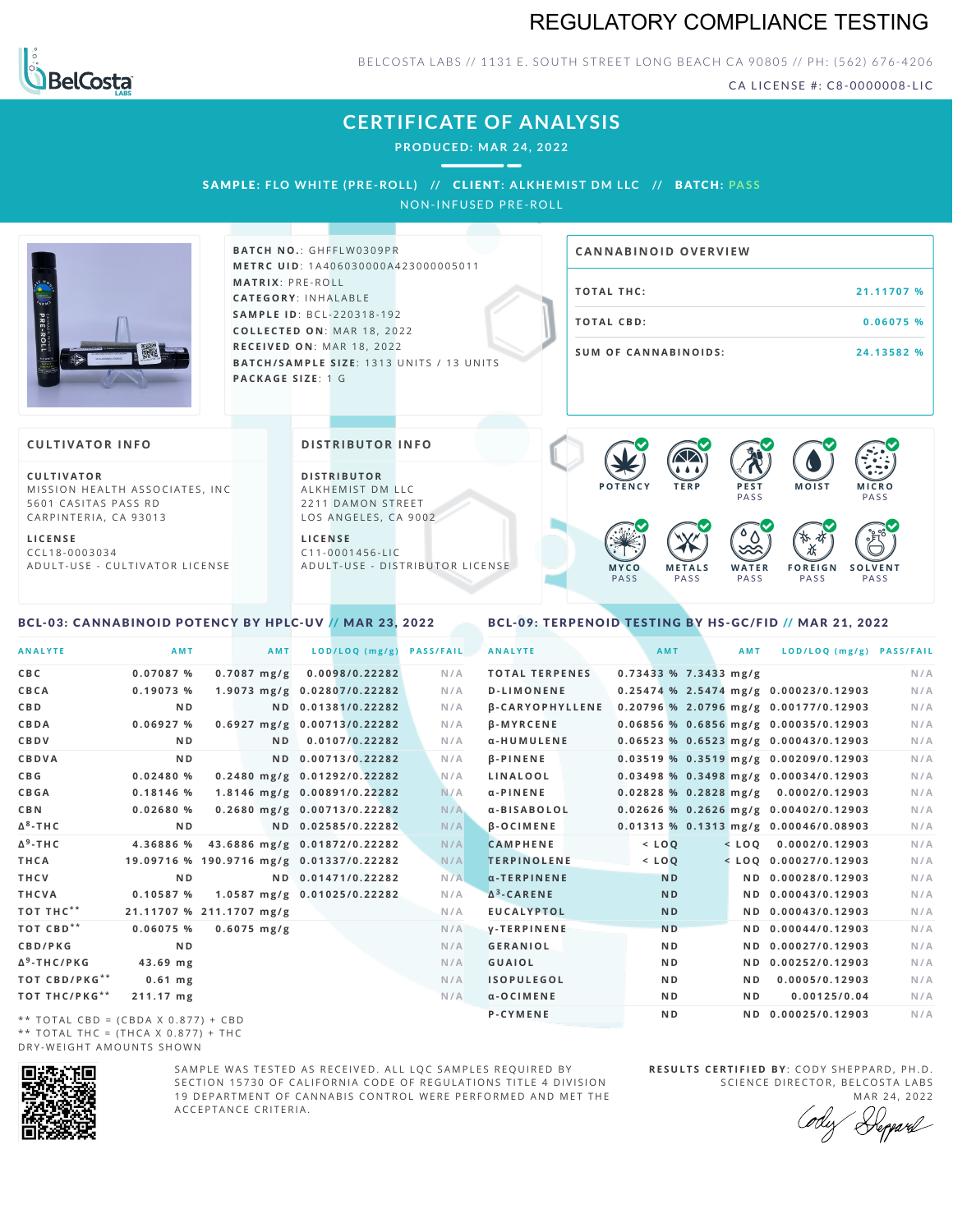# REGULATORY COMPLIANCE TESTING



BELCOSTA LABS // 1131 E. SOUTH STREET LONG BEACH CA 90805 // PH: (562) 676-4206

CA LICENSE #: C8-0000008-LIC

# **CERTIFICATE OF ANALYSIS**

**PRODUCED: MA R 24, 2022**

SAMPLE: FLO WHITE (PRE-ROLL) // CLIENT: ALKHEMIST DM LLC // BATCH: PASS

NON-INFUSED PRE-ROLL



**BATCH NO.: GHFFLW0309PR M E T R C U ID** :1 A 4 0 6 0 3 0 0 0 0 A 4 2 3 0 0 0 0 0 5 0 1 1 **M AT R I X** :P R E - R O L L **CAT E G O R Y** : I N H A L A B L E **SA M P L E I D** :B C L - 2 2 0 3 1 8 - 1 9 2  $COLLECTED ON: MAR 18, 2022$ **R E C E I V E D O N** : M A R 1 8 ,2 0 2 2 **BATCH/SAMPLE SIZE:** 1313 UNITS / 13 UNITS **PAC KA G E S I Z E** : 1 G

# **TOTAL THC:** 21.11707 % **T O TAL CB D :0 . 0 6 0 7 5 % S U M O F CA N N ABI N O I D S : 2 4 . 1 3 5 8 2 % CA N N ABI N OID OVERVI EW**

### **CULTIVATOR I N FO**

**C U L T I VAT O R** MISSION HEALTH ASSOCIATES, INC. 5601 CASITAS PASS RD CARPINTERIA, CA 93013

**L I C E N S E** C C L 1 8 - 0 0 0 3 0 3 4 A D U L T - U S E - C U L T I V A T O R L I C E N S E

<span id="page-0-0"></span>BCL-03: CANNABINOID POTENCY BY HPLC-UV // MAR 23, 2022

#### **DI STRIBUTOR I N FO**

**D I S T R IB U T O R** ALKHEMIST DM LLC 2211 DAMON STREET LOS ANGELES, CA 9002

**L I C E N S E** C 1 1 - 0 0 0 1 4 5 6 - L I C A D U L T - U S E - D I STRI B U T O R LICENSE



<span id="page-0-1"></span>BCL-09: TERPENOID TESTING BY HS-GC/FID // MAR 21, 2022

| <b>ANALYTE</b>                      | AMT                                      | AMT            | LOD/LOQ (mg/g)               | <b>PASS/FAIL</b> | <b>ANALYTE</b>         |                         | AMT            | AMT            | LOD/LOQ (mg/g) PASS/FAIL                |     |
|-------------------------------------|------------------------------------------|----------------|------------------------------|------------------|------------------------|-------------------------|----------------|----------------|-----------------------------------------|-----|
| C B C                               | 0.07087%                                 | $0.7087$ mg/g  | 0.0098/0.22282               | N/A              | <b>TOTAL TERPENES</b>  | $0.73433$ % 7.3433 mg/g |                |                |                                         | N/A |
| CBCA                                | 0.19073%                                 |                | 1.9073 mg/g 0.02807/0.22282  | N/A              | <b>D-LIMONENE</b>      |                         |                |                | 0.25474 % 2.5474 mg/g 0.00023/0.12903   | N/A |
| CBD                                 | N <sub>D</sub>                           |                | ND 0.01381/0.22282           | N/A              | <b>B-CARYOPHYLLENE</b> |                         |                |                | 0.20796 % 2.0796 mg/g 0.00177/0.12903   | N/A |
| CBDA                                | 0.06927%                                 |                | 0.6927 mg/g 0.00713/0.22282  | N/A              | <b>B-MYRCENE</b>       |                         |                |                | 0.06856 % 0.6856 mg/g 0.00035/0.12903   | N/A |
| CBDV                                | N <sub>D</sub>                           | N <sub>D</sub> | 0.0107/0.22282               | N/A              | α-HUMULENE             |                         |                |                | $0.06523$ % 0.6523 mg/g 0.00043/0.12903 | N/A |
| CBDVA                               | N <sub>D</sub>                           |                | ND 0.00713/0.22282           | N/A              | <b>B-PINENE</b>        |                         |                |                | $0.03519$ % 0.3519 mg/g 0.00209/0.12903 | N/A |
| C B G                               | 0.02480%                                 |                | 0.2480 mg/g 0.01292/0.22282  | N/A              | <b>LINALOOL</b>        |                         |                |                | $0.03498$ % 0.3498 mg/g 0.00034/0.12903 | N/A |
| CBGA                                | $0.18146$ %                              |                | 1.8146 mg/g 0.00891/0.22282  | N/A              | $\alpha$ -PINENE       |                         |                |                | $0.02828$ % 0.2828 mg/g 0.0002/0.12903  | N/A |
| C B N                               | 0.02680%                                 |                | 0.2680 mg/g 0.00713/0.22282  | N/A              | α-BISABOLOL            |                         |                |                | 0.02626 % 0.2626 mg/g 0.00402/0.12903   | N/A |
| Δ <sup>8</sup> -ΤΗ C                | N <sub>D</sub>                           |                | ND 0.02585/0.22282           | N/A              | $\beta$ -OCIMENE       |                         |                |                | $0.01313$ % 0.1313 mg/g 0.00046/0.08903 | N/A |
| Δ <sup>9</sup> -ΤΗ C                | 4.36886 %                                |                | 43.6886 mg/g 0.01872/0.22282 | N/A              | <b>CAMPHENE</b>        | $<$ $LOO$               |                |                | $<$ LOO 0.0002/0.12903                  | N/A |
| THCA                                | 19.09716 % 190.9716 mg/g 0.01337/0.22282 |                |                              | N/A              | <b>TERPINOLENE</b>     | $<$ LOQ                 |                |                | $<$ LOQ 0.00027/0.12903                 | N/A |
| THCV                                | N <sub>D</sub>                           |                | ND 0.01471/0.22282           | N/A              | $\alpha$ -TERPINENE    |                         | <b>ND</b>      |                | ND 0.00028/0.12903                      | N/A |
| THCVA                               | 0.10587%                                 |                | 1.0587 mg/g 0.01025/0.22282  | N/A              | $\Delta^3$ -CARENE     |                         | <b>ND</b>      |                | ND 0.00043/0.12903                      | N/A |
| тот тнс**                           | 21.11707 % 211.1707 mg/g                 |                |                              | N/A              | <b>EUCALYPTOL</b>      |                         | <b>ND</b>      |                | ND 0.00043/0.12903                      | N/A |
| ТОТ СВD**                           | 0.06075%                                 | $0.6075$ mg/g  |                              | N/A              | <b>V-TERPINENE</b>     |                         | N <sub>D</sub> |                | ND 0.00044/0.12903                      | N/A |
| CBD/PKG                             | N <sub>D</sub>                           |                |                              | N/A              | <b>GERANIOL</b>        |                         | ND.            |                | ND 0.00027/0.12903                      | N/A |
| Δ <sup>9</sup> -THC/PKG             | $43.69$ mg                               |                |                              | N/A              | <b>GUAIOL</b>          |                         | N <sub>D</sub> |                | ND 0.00252/0.12903                      | N/A |
| TOT CBD/PKG**                       | $0.61$ mg                                |                |                              | N/A              | <b>ISOPULEGOL</b>      |                         | N <sub>D</sub> | ND.            | 0.0005/0.12903                          | N/A |
| ТОТ ТНС/РКG**                       | 211.17 mg                                |                |                              | N/A              | $\alpha$ -OCIMENE      |                         | N <sub>D</sub> | N <sub>D</sub> | 0.00125/0.04                            | N/A |
| ** TOTAL CBD = (CBDA X 0.877) + CBD |                                          |                |                              |                  | P-CYMENE               |                         | N <sub>D</sub> |                | ND 0.00025/0.12903                      | N/A |
|                                     |                                          |                |                              |                  |                        |                         |                |                |                                         |     |

\*\* TOTAL CBD = (CBDA X 0.877) + CBD \*\* TOTAL THC =  $(THCA X 0.877) + THC$ DRY-WEIGHT AMOUNTS SHOWN



SAMPLE WAS TESTED AS RECEIVED. ALL LOC SAMPLES REQUIRED BY SECTION 15730 OF CALIFORNIA CODE OF REGULATIONS TITLE 4 DIVISION 19 DEPARTMENT OF CANNABIS CONTROL WERE PERFORMED AND MET THE A C C E P T A N C E C R I T E R I A .

**R E S U L T S C E R T I F I E D BY** : C O D Y S H E P P A R D ,P H .D . SCIENCE DIRECTOR, BELCOSTA LABS

MAR 24, 2022 Reppard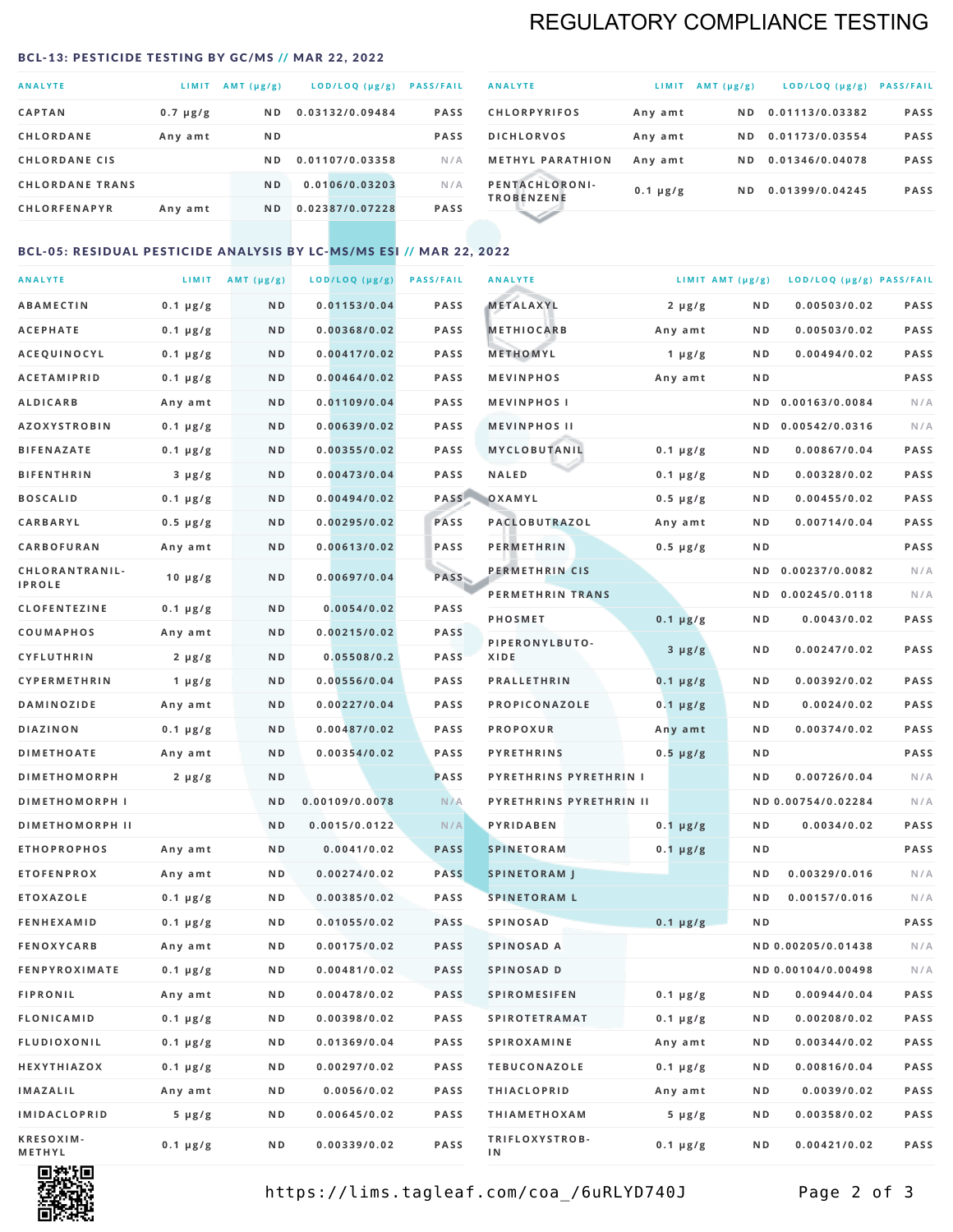# REGULATORY COMPLIANCE TESTING

#### <span id="page-1-0"></span>BCL-13: PESTICIDE TESTING BY GC/MS // MAR 22, 2022

| <b>ANALYTE</b>         | LIMIT         | AMT (µg/g)     | LOD/LOQ (µg/g)  | <b>PASS/FAIL</b> |
|------------------------|---------------|----------------|-----------------|------------------|
| <b>CAPTAN</b>          | $0.7 \mu g/g$ | N <sub>D</sub> | 0.03132/0.09484 | <b>PASS</b>      |
| <b>CHLORDANE</b>       | Any amt       | N <sub>D</sub> |                 | <b>PASS</b>      |
| <b>CHLORDANE CIS</b>   |               | N D            | 0.01107/0.03358 | N/A              |
| <b>CHLORDANE TRANS</b> |               | N <sub>D</sub> | 0.0106/0.03203  | N/A              |
| <b>CHLORFENAPYR</b>    | Any amt       | N <sub>D</sub> | 0.02387/0.07228 | <b>PASS</b>      |

| <b>ANALYTE</b>                      | LIMIT         | AMT $(\mu g/g)$ | $LOD/LOQ$ ( $\mu g/g$ ) | <b>PASS/FAIL</b> |
|-------------------------------------|---------------|-----------------|-------------------------|------------------|
| <b>CHLORPYRIFOS</b>                 | Any amt       | N D             | 0.01113/0.03382         | <b>PASS</b>      |
| <b>DICHLORVOS</b>                   | Any amt       | ND.             | 0.01173/0.03554         | <b>PASS</b>      |
| <b>METHYL PARATHION</b>             | Any amt       | ND.             | 0.01346/0.04078         | <b>PASS</b>      |
| PENTACHLORONI-<br><b>TROBENZENE</b> | $0.1 \mu g/g$ | ND.             | 0.01399/0.04245         | <b>PASS</b>      |
|                                     |               |                 |                         |                  |

## BCL-05: RESIDUAL PESTICIDE ANALYSIS BY LC-MS/MS ESI // MAR 22, 2022

| <b>ANALYTE</b>         |               | LIMIT $AMT (\mu g/g)$ | LOD/LOQ (µg/g) | <b>PASS/FAIL</b> | <b>ANALYTE</b>          |               | LIMIT AMT $(\mu g/g)$ | LOD/LOQ (µg/g) PASS/FAIL |             |
|------------------------|---------------|-----------------------|----------------|------------------|-------------------------|---------------|-----------------------|--------------------------|-------------|
| ABAMECTIN              | $0.1 \mu g/g$ | ND                    | 0.01153/0.04   | <b>PASS</b>      | METALAXYL               | $2 \mu g/g$   | N D                   | 0.00503/0.02             | <b>PASS</b> |
| <b>ACEPHATE</b>        | $0.1 \mu g/g$ | N D                   | 0.00368/0.02   | <b>PASS</b>      | <b>METHIOCARB</b>       | Any amt       | N D                   | 0.00503/0.02             | PASS        |
| <b>ACEQUINOCYL</b>     | $0.1 \mu g/g$ | N D                   | 0.00417/0.02   | <b>PASS</b>      | METHOMYL                | 1 $\mu$ g/g   | N D                   | 0.00494/0.02             | PASS        |
| <b>ACETAMIPRID</b>     | $0.1 \mu g/g$ | N D                   | 0.00464/0.02   | <b>PASS</b>      | <b>MEVINPHOS</b>        | Any amt       | N D                   |                          | PASS        |
| <b>ALDICARB</b>        | Any amt       | N D                   | 0.01109/0.04   | <b>PASS</b>      | <b>MEVINPHOSI</b>       |               | N D                   | 0.00163/0.0084           | N/A         |
| <b>AZOXYSTROBIN</b>    | $0.1 \mu g/g$ | N D                   | 0.00639/0.02   | <b>PASS</b>      | <b>MEVINPHOS II</b>     |               | N D                   | 0.00542/0.0316           | N/A         |
| <b>BIFENAZATE</b>      | $0.1 \mu g/g$ | N D                   | 0.00355/0.02   | <b>PASS</b>      | MYCLOBUTANIL            | $0.1 \mu g/g$ | N D                   | 0.00867/0.04             | PASS        |
| <b>BIFENTHRIN</b>      | $3 \mu g/g$   | ND                    | 0.00473/0.04   | <b>PASS</b>      | <b>NALED</b>            | $0.1 \mu g/g$ | N D                   | 0.00328/0.02             | PASS        |
| <b>BOSCALID</b>        | $0.1 \mu g/g$ | N D                   | 0.00494/0.02   | PASS             | OXAMYL                  | $0.5 \mu g/g$ | N D                   | 0.00455/0.02             | <b>PASS</b> |
| <b>CARBARYL</b>        | $0.5 \mu g/g$ | ND                    | 0.00295/0.02   | PASS             | PACLOBUTRAZOL           | Any amt       | N D                   | 0.00714/0.04             | PASS        |
| CARBOFURAN             | Any amt       | N D                   | 0.00613/0.02   | <b>PASS</b>      | <b>PERMETHRIN</b>       | $0.5 \mu g/g$ | N D                   |                          | PASS        |
| CHLORANTRANIL-         | $10 \mu g/g$  | N D                   | 0.00697/0.04   | PASS             | PERMETHRIN CIS          |               | N D                   | 0.00237/0.0082           | N/A         |
| <b>IPROLE</b>          |               |                       |                |                  | PERMETHRIN TRANS        |               | N D                   | 0.00245/0.0118           | N/A         |
| <b>CLOFENTEZINE</b>    | $0.1 \mu g/g$ | N D                   | 0.0054/0.02    | <b>PASS</b>      | PHOSMET                 | $0.1 \mu g/g$ | N D                   | 0.0043/0.02              | PASS        |
| COUMAPHOS              | Any amt       | N D                   | 0.00215/0.02   | <b>PASS</b>      | PIPERONYLBUTO-          | $3 \mu g/g$   | N D                   | 0.00247/0.02             | PASS        |
| <b>CYFLUTHRIN</b>      | $2 \mu g/g$   | N D                   | 0.05508/0.2    | <b>PASS</b>      | XIDE                    |               |                       |                          |             |
| <b>CYPERMETHRIN</b>    | 1 $\mu$ g/g   | ND                    | 0.00556/0.04   | <b>PASS</b>      | <b>PRALLETHRIN</b>      | $0.1 \mu g/g$ | N D                   | 0.00392/0.02             | PASS        |
| <b>DAMINOZIDE</b>      | Any amt       | N D                   | 0.00227/0.04   | <b>PASS</b>      | PROPICONAZOLE           | $0.1 \mu g/g$ | N D                   | 0.0024/0.02              | PASS        |
| <b>DIAZINON</b>        | $0.1 \mu g/g$ | N D                   | 0.00487/0.02   | <b>PASS</b>      | <b>PROPOXUR</b>         | Any amt       | N D                   | 0.00374/0.02             | PASS        |
| <b>DIMETHOATE</b>      | Any amt       | N D                   | 0.00354/0.02   | <b>PASS</b>      | <b>PYRETHRINS</b>       | $0.5 \mu g/g$ | N D                   |                          | PASS        |
| <b>DIMETHOMORPH</b>    | $2 \mu g/g$   | N D                   |                | <b>PASS</b>      | PYRETHRINS PYRETHRIN I  |               | ND                    | 0.00726/0.04             | N/A         |
| <b>DIMETHOMORPH I</b>  |               | N D                   | 0.00109/0.0078 | N/A              | PYRETHRINS PYRETHRIN II |               |                       | ND 0.00754/0.02284       | N/A         |
| <b>DIMETHOMORPH II</b> |               | ND                    | 0.0015/0.0122  | N/A              | PYRIDABEN               | $0.1 \mu g/g$ | N D                   | 0.0034/0.02              | <b>PASS</b> |
| <b>ETHOPROPHOS</b>     | Any amt       | N D                   | 0.0041/0.02    | <b>PASS</b>      | <b>SPINETORAM</b>       | $0.1 \mu g/g$ | N D                   |                          | PASS        |
| <b>ETOFENPROX</b>      | Any amt       | N D                   | 0.00274/0.02   | <b>PASS</b>      | <b>SPINETORAM J</b>     |               | N D                   | 0.00329/0.016            | N/A         |
| <b>ETOXAZOLE</b>       | $0.1 \mu g/g$ | N D                   | 0.00385/0.02   | <b>PASS</b>      | <b>SPINETORAM L</b>     |               | ND                    | 0.00157/0.016            | N/A         |
| <b>FENHEXAMID</b>      | $0.1 \mu g/g$ | N D                   | 0.01055/0.02   | <b>PASS</b>      | <b>SPINOSAD</b>         | $0.1 \mu g/g$ | ND                    |                          | PASS        |
| <b>FENOXYCARB</b>      | Any amt       | N D                   | 0.00175/0.02   | <b>PASS</b>      | SPINOSAD A              |               |                       | ND 0.00205/0.01438       | N/A         |
| <b>FENPYROXIMATE</b>   | $0.1 \mu g/g$ | N D                   | 0.00481/0.02   | <b>PASS</b>      | SPINOSAD D              |               |                       | ND 0.00104/0.00498       | N/A         |
| <b>FIPRONIL</b>        | Any amt       | N D                   | 0.00478/0.02   | PASS             | <b>SPIROMESIFEN</b>     | $0.1 \mu g/g$ | N D                   | 0.00944/0.04             | PASS        |
| FLONICAMID             | $0.1 \mu g/g$ | N D                   | 0.00398/0.02   | PASS             | <b>SPIROTETRAMAT</b>    | $0.1 \mu g/g$ | N D                   | 0.00208/0.02             | PASS        |
| <b>FLUDIOXONIL</b>     | $0.1 \mu g/g$ | N D                   | 0.01369/0.04   | PASS             | <b>SPIROXAMINE</b>      | Any amt       | N D                   | 0.00344/0.02             | PASS        |
| HEXYTHIAZOX            | $0.1 \mu g/g$ | N D                   | 0.00297/0.02   | PASS             | <b>TEBUCONAZOLE</b>     | $0.1 \mu g/g$ | N D                   | 0.00816/0.04             | PASS        |
| IMAZALIL               | Any amt       | N D                   | 0.0056/0.02    | PASS             | <b>THIACLOPRID</b>      | Any amt       | N D                   | 0.0039/0.02              | PASS        |
| IMIDACLOPRID           | $5 \mu g/g$   | N D                   | 0.00645/0.02   | PASS             | <b>THIAMETHOXAM</b>     | $5 \mu g/g$   | N D                   | 0.00358/0.02             | PASS        |
| KRESOXIM-<br>METHYL    | $0.1 \mu g/g$ | N D                   | 0.00339/0.02   | PASS             | TRIFLOXYSTROB-<br>ΙN    | $0.1 \mu g/g$ | N D                   | 0.00421/0.02             | PASS        |